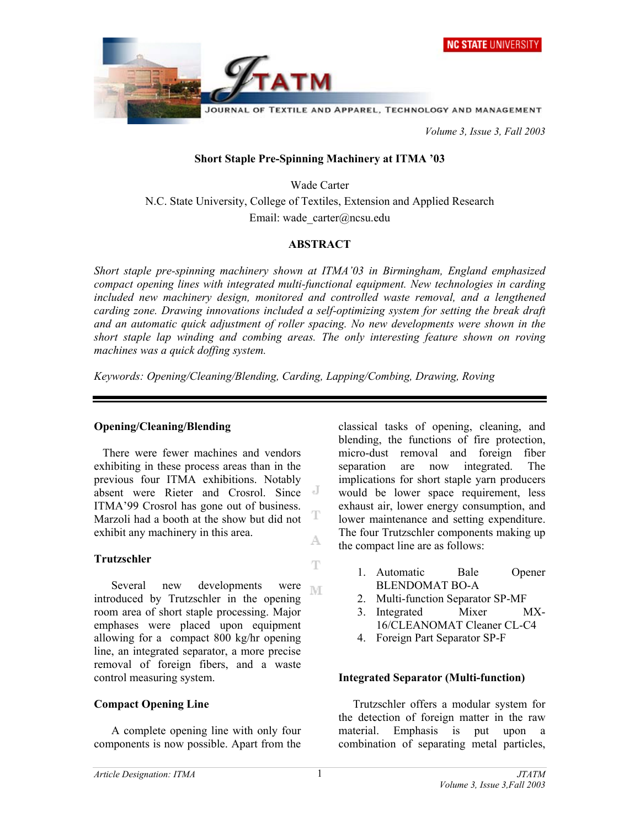

JOURNAL OF TEXTILE AND APPAREL, TECHNOLOGY AND MANAGEMENT

 *Volume 3, Issue 3, Fall 2003* 

## **Short Staple Pre-Spinning Machinery at ITMA '03**

Wade Carter N.C. State University, College of Textiles, Extension and Applied Research Email: wade\_carter@ncsu.edu

## **ABSTRACT**

*Short staple pre-spinning machinery shown at ITMA'03 in Birmingham, England emphasized compact opening lines with integrated multi-functional equipment. New technologies in carding included new machinery design, monitored and controlled waste removal, and a lengthened carding zone. Drawing innovations included a self-optimizing system for setting the break draft and an automatic quick adjustment of roller spacing. No new developments were shown in the short staple lap winding and combing areas. The only interesting feature shown on roving machines was a quick doffing system.* 

*Keywords: Opening/Cleaning/Blending, Carding, Lapping/Combing, Drawing, Roving* 

## **Opening/Cleaning/Blending**

 There were fewer machines and vendors exhibiting in these process areas than in the previous four ITMA exhibitions. Notably absent were Rieter and Crosrol. Since ITMA'99 Crosrol has gone out of business. T Marzoli had a booth at the show but did not exhibit any machinery in this area. A

## **Trutzschler**

 Several new developments were M introduced by Trutzschler in the opening room area of short staple processing. Major emphases were placed upon equipment allowing for a compact 800 kg/hr opening line, an integrated separator, a more precise removal of foreign fibers, and a waste control measuring system.

## **Compact Opening Line**

 A complete opening line with only four components is now possible. Apart from the

classical tasks of opening, cleaning, and blending, the functions of fire protection, micro-dust removal and foreign fiber separation are now integrated. The implications for short staple yarn producers would be lower space requirement, less exhaust air, lower energy consumption, and lower maintenance and setting expenditure. The four Trutzschler components making up the compact line are as follows:

- 1. Automatic Bale Opener BLENDOMAT BO-A
- 2. Multi-function Separator SP-MF
- 3. Integrated Mixer MX-16/CLEANOMAT Cleaner CL-C4
- 4. Foreign Part Separator SP-F

## **Integrated Separator (Multi-function)**

 Trutzschler offers a modular system for the detection of foreign matter in the raw material. Emphasis is put upon a combination of separating metal particles,

T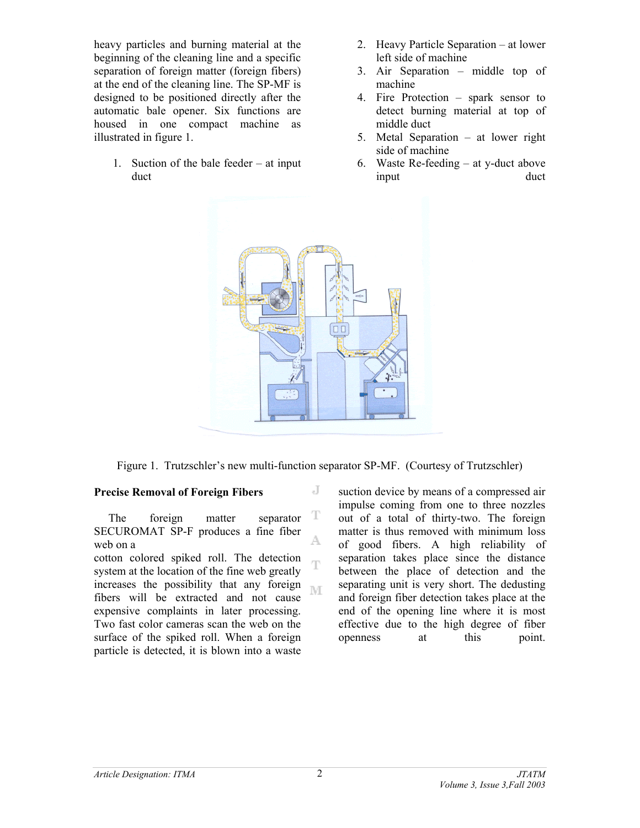heavy particles and burning material at the beginning of the cleaning line and a specific separation of foreign matter (foreign fibers) at the end of the cleaning line. The SP-MF is designed to be positioned directly after the automatic bale opener. Six functions are housed in one compact machine as illustrated in figure 1.

1. Suction of the bale feeder – at input duct

- 2. Heavy Particle Separation at lower left side of machine
- 3. Air Separation middle top of machine
- 4. Fire Protection spark sensor to detect burning material at top of middle duct
- 5. Metal Separation at lower right side of machine
- 6. Waste Re-feeding at y-duct above input duct



Figure 1. Trutzschler's new multi-function separator SP-MF. (Courtesy of Trutzschler)

J

Ŧ

### **Precise Removal of Foreign Fibers**

T The foreign matter separator SECUROMAT SP-F produces a fine fiber A. web on a

cotton colored spiked roll. The detection system at the location of the fine web greatly increases the possibility that any foreign M fibers will be extracted and not cause expensive complaints in later processing. Two fast color cameras scan the web on the surface of the spiked roll. When a foreign particle is detected, it is blown into a waste

suction device by means of a compressed air impulse coming from one to three nozzles out of a total of thirty-two. The foreign matter is thus removed with minimum loss of good fibers. A high reliability of separation takes place since the distance between the place of detection and the separating unit is very short. The dedusting and foreign fiber detection takes place at the end of the opening line where it is most effective due to the high degree of fiber openness at this point.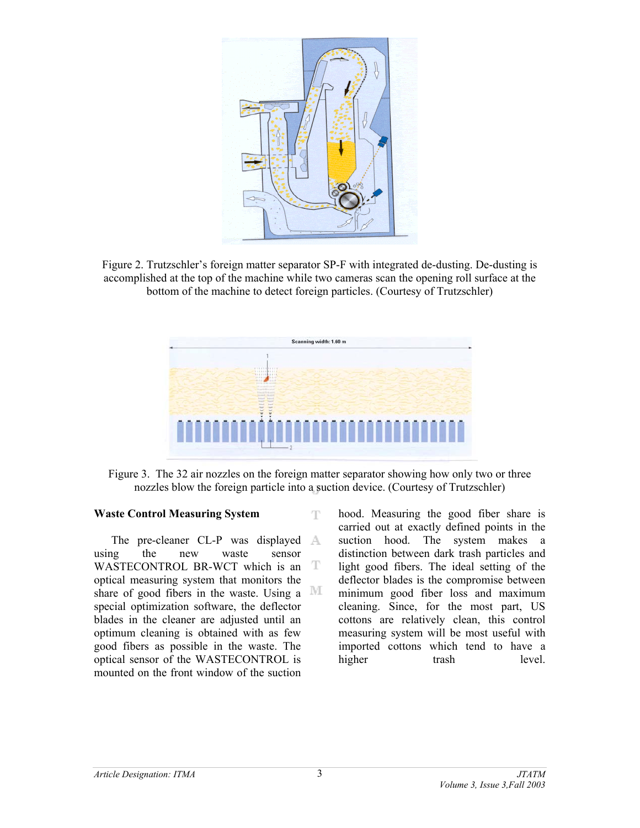

Figure 2. Trutzschler's foreign matter separator SP-F with integrated de-dusting. De-dusting is accomplished at the top of the machine while two cameras scan the opening roll surface at the bottom of the machine to detect foreign particles. (Courtesy of Trutzschler)



Figure 3. The 32 air nozzles on the foreign matter separator showing how only two or three nozzles blow the foreign particle into a suction device. (Courtesy of Trutzschler)

T

#### **Waste Control Measuring System**

The pre-cleaner CL-P was displayed A using the new waste sensor WASTECONTROL BR-WCT which is an T optical measuring system that monitors the share of good fibers in the waste. Using a  $\mathbb M$ special optimization software, the deflector blades in the cleaner are adjusted until an optimum cleaning is obtained with as few good fibers as possible in the waste. The optical sensor of the WASTECONTROL is mounted on the front window of the suction

hood. Measuring the good fiber share is carried out at exactly defined points in the suction hood. The system makes a distinction between dark trash particles and light good fibers. The ideal setting of the deflector blades is the compromise between minimum good fiber loss and maximum cleaning. Since, for the most part, US cottons are relatively clean, this control measuring system will be most useful with imported cottons which tend to have a higher trash level.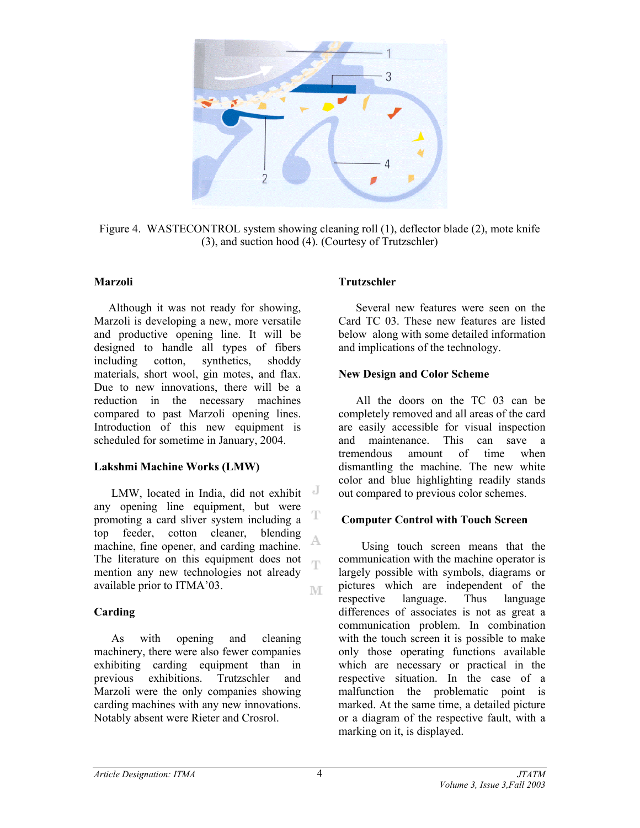

Figure 4. WASTECONTROL system showing cleaning roll (1), deflector blade (2), mote knife (3), and suction hood (4). (Courtesy of Trutzschler)

#### **Marzoli**

 Although it was not ready for showing, Marzoli is developing a new, more versatile and productive opening line. It will be designed to handle all types of fibers including cotton, synthetics, shoddy materials, short wool, gin motes, and flax. Due to new innovations, there will be a reduction in the necessary machines compared to past Marzoli opening lines. Introduction of this new equipment is scheduled for sometime in January, 2004.

#### **Lakshmi Machine Works (LMW)**

LMW, located in India, did not exhibit any opening line equipment, but were promoting a card sliver system including a top feeder, cotton cleaner, blending A machine, fine opener, and carding machine. The literature on this equipment does not  $\overline{\mathbb{C}}$ mention any new technologies not already available prior to ITMA'03. M

### **Carding**

 As with opening and cleaning machinery, there were also fewer companies exhibiting carding equipment than in previous exhibitions. Trutzschler and Marzoli were the only companies showing carding machines with any new innovations. Notably absent were Rieter and Crosrol.

### **Trutzschler**

 Several new features were seen on the Card TC 03. These new features are listed below along with some detailed information and implications of the technology.

#### **New Design and Color Scheme**

 All the doors on the TC 03 can be completely removed and all areas of the card are easily accessible for visual inspection and maintenance. This can save a tremendous amount of time when dismantling the machine. The new white color and blue highlighting readily stands out compared to previous color schemes.

#### **Computer Control with Touch Screen**

 Using touch screen means that the communication with the machine operator is largely possible with symbols, diagrams or pictures which are independent of the respective language. Thus language differences of associates is not as great a communication problem. In combination with the touch screen it is possible to make only those operating functions available which are necessary or practical in the respective situation. In the case of a malfunction the problematic point is marked. At the same time, a detailed picture or a diagram of the respective fault, with a marking on it, is displayed.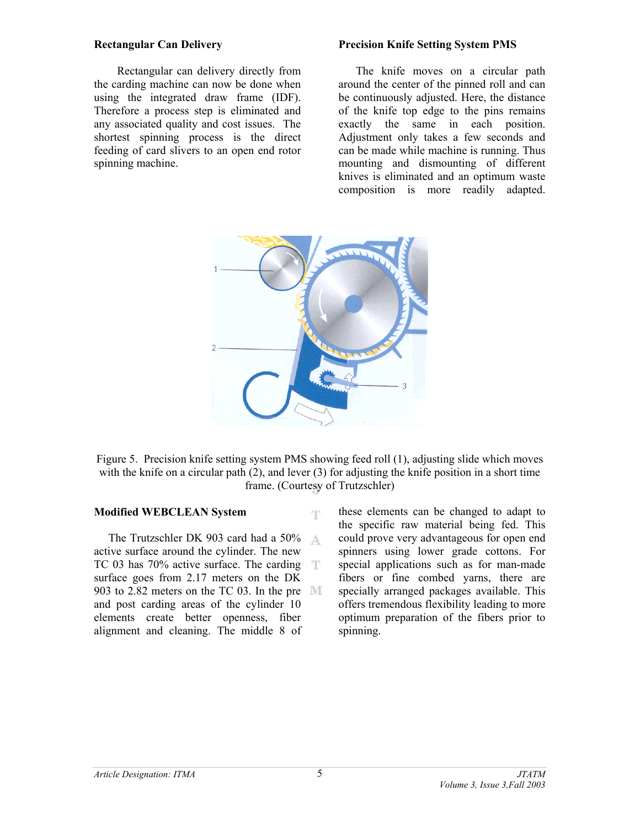#### **Rectangular Can Delivery**

 Rectangular can delivery directly from the carding machine can now be done when using the integrated draw frame (IDF). Therefore a process step is eliminated and any associated quality and cost issues. The shortest spinning process is the direct feeding of card slivers to an open end rotor spinning machine.

#### **Precision Knife Setting System PMS**

 The knife moves on a circular path around the center of the pinned roll and can be continuously adjusted. Here, the distance of the knife top edge to the pins remains exactly the same in each position. Adjustment only takes a few seconds and can be made while machine is running. Thus mounting and dismounting of different knives is eliminated and an optimum waste composition is more readily adapted.



Figure 5. Precision knife setting system PMS showing feed roll (1), adjusting slide which moves with the knife on a circular path (2), and lever (3) for adjusting the knife position in a short time frame. (Courtesy of Trutzschler)

Ŧ

### **Modified WEBCLEAN System**

 The Trutzschler DK 903 card had a 50% A active surface around the cylinder. The new TC 03 has 70% active surface. The carding T surface goes from 2.17 meters on the DK 903 to 2.82 meters on the TC 03. In the pre  $\mathbb{M}$ and post carding areas of the cylinder 10 elements create better openness, fiber alignment and cleaning. The middle 8 of

these elements can be changed to adapt to the specific raw material being fed. This could prove very advantageous for open end spinners using lower grade cottons. For special applications such as for man-made fibers or fine combed yarns, there are specially arranged packages available. This offers tremendous flexibility leading to more optimum preparation of the fibers prior to spinning.

5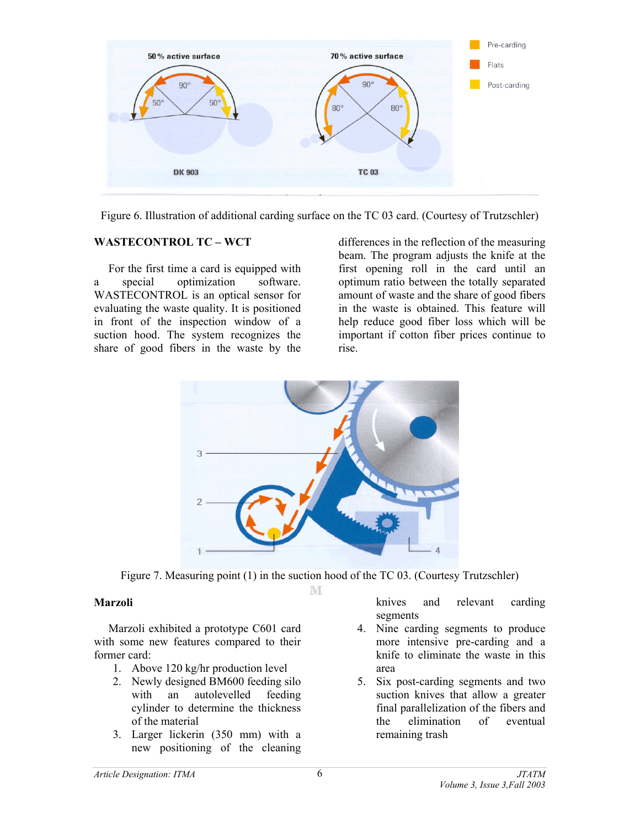

Figure 6. Illustration of additional carding surface on the TC 03 card. (Courtesy of Trutzschler)

### **WASTECONTROL TC – WCT**

 For the first time a card is equipped with a special optimization software. WASTECONTROL is an optical sensor for evaluating the waste quality. It is positioned in front of the inspection window of a suction hood. The system recognizes the share of good fibers in the waste by the

differences in the reflection of the measuring beam. The program adjusts the knife at the first opening roll in the card until an optimum ratio between the totally separated amount of waste and the share of good fibers in the waste is obtained. This feature will help reduce good fiber loss which will be important if cotton fiber prices continue to rise.



Figure 7. Measuring point (1) in the suction hood of the TC 03. (Courtesy Trutzschler) M

#### **Marzoli**

 Marzoli exhibited a prototype C601 card with some new features compared to their former card:

- 1. Above 120 kg/hr production level
- 2. Newly designed BM600 feeding silo with an autolevelled feeding cylinder to determine the thickness of the material
- 3. Larger lickerin (350 mm) with a new positioning of the cleaning

knives and relevant carding segments

- 4. Nine carding segments to produce more intensive pre-carding and a knife to eliminate the waste in this area
- 5. Six post-carding segments and two suction knives that allow a greater final parallelization of the fibers and the elimination of eventual remaining trash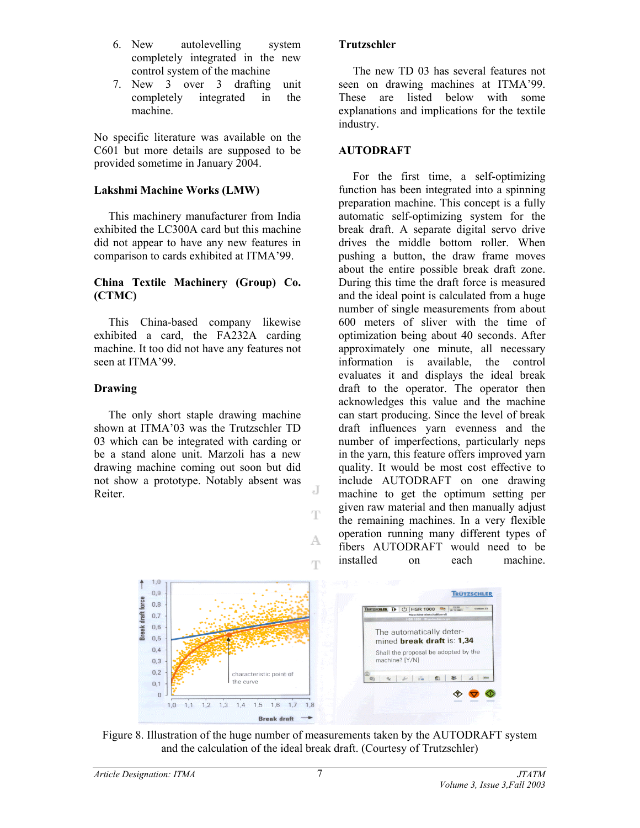- 6. New autolevelling system completely integrated in the new control system of the machine
- 7. New 3 over 3 drafting unit completely integrated in the machine.

No specific literature was available on the C601 but more details are supposed to be provided sometime in January 2004.

### **Lakshmi Machine Works (LMW)**

 This machinery manufacturer from India exhibited the LC300A card but this machine did not appear to have any new features in comparison to cards exhibited at ITMA'99.

### **China Textile Machinery (Group) Co. (CTMC)**

 This China-based company likewise exhibited a card, the FA232A carding machine. It too did not have any features not seen at ITMA'99.

### **Drawing**

 The only short staple drawing machine shown at ITMA'03 was the Trutzschler TD 03 which can be integrated with carding or be a stand alone unit. Marzoli has a new drawing machine coming out soon but did not show a prototype. Notably absent was Reiter.

### **Trutzschler**

 The new TD 03 has several features not seen on drawing machines at ITMA'99. These are listed below with some explanations and implications for the textile industry.

### **AUTODRAFT**

 For the first time, a self-optimizing function has been integrated into a spinning preparation machine. This concept is a fully automatic self-optimizing system for the break draft. A separate digital servo drive drives the middle bottom roller. When pushing a button, the draw frame moves about the entire possible break draft zone. During this time the draft force is measured and the ideal point is calculated from a huge number of single measurements from about 600 meters of sliver with the time of optimization being about 40 seconds. After approximately one minute, all necessary information is available, the control evaluates it and displays the ideal break draft to the operator. The operator then acknowledges this value and the machine can start producing. Since the level of break draft influences yarn evenness and the number of imperfections, particularly neps in the yarn, this feature offers improved yarn quality. It would be most cost effective to include AUTODRAFT on one drawing machine to get the optimum setting per given raw material and then manually adjust the remaining machines. In a very flexible operation running many different types of fibers AUTODRAFT would need to be installed on each machine.



J

T

A.

Ŧ

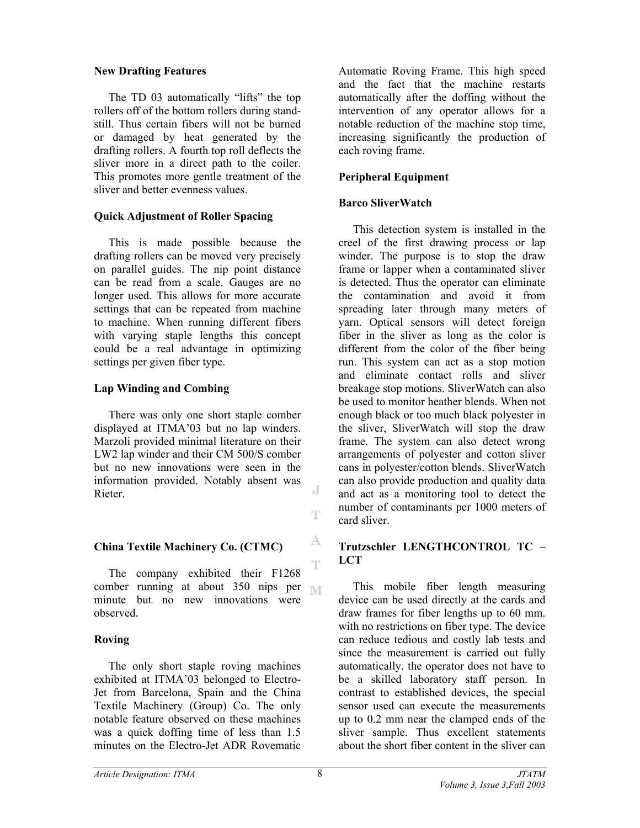#### **New Drafting Features**

 The TD 03 automatically "lifts" the top rollers off of the bottom rollers during standstill. Thus certain fibers will not be burned or damaged by heat generated by the drafting rollers. A fourth top roll deflects the sliver more in a direct path to the coiler. This promotes more gentle treatment of the sliver and better evenness values.

## **Quick Adjustment of Roller Spacing**

 This is made possible because the drafting rollers can be moved very precisely on parallel guides. The nip point distance can be read from a scale. Gauges are no longer used. This allows for more accurate settings that can be repeated from machine to machine. When running different fibers with varying staple lengths this concept could be a real advantage in optimizing settings per given fiber type.

# **Lap Winding and Combing**

 There was only one short staple comber displayed at ITMA'03 but no lap winders. Marzoli provided minimal literature on their LW2 lap winder and their CM 500/S comber but no new innovations were seen in the information provided. Notably absent was Rieter.

## **China Textile Machinery Co. (CTMC)**

 $\mathbb T$  The company exhibited their F1268 comber running at about 350 nips per <sub>IMT</sub> minute but no new innovations were observed.

## **Roving**

 The only short staple roving machines exhibited at ITMA'03 belonged to Electro-Jet from Barcelona, Spain and the China Textile Machinery (Group) Co. The only notable feature observed on these machines was a quick doffing time of less than 1.5 minutes on the Electro-Jet ADR Rovematic

Automatic Roving Frame. This high speed and the fact that the machine restarts automatically after the doffing without the intervention of any operator allows for a notable reduction of the machine stop time, increasing significantly the production of each roving frame.

# **Peripheral Equipment**

## **Barco SliverWatch**

 This detection system is installed in the creel of the first drawing process or lap winder. The purpose is to stop the draw frame or lapper when a contaminated sliver is detected. Thus the operator can eliminate the contamination and avoid it from spreading later through many meters of yarn. Optical sensors will detect foreign fiber in the sliver as long as the color is different from the color of the fiber being run. This system can act as a stop motion and eliminate contact rolls and sliver breakage stop motions. SliverWatch can also be used to monitor heather blends. When not enough black or too much black polyester in the sliver, SliverWatch will stop the draw frame. The system can also detect wrong arrangements of polyester and cotton sliver cans in polyester/cotton blends. SliverWatch can also provide production and quality data and act as a monitoring tool to detect the number of contaminants per 1000 meters of card sliver.

# **Trutzschler LENGTHCONTROL TC – LCT**

 This mobile fiber length measuring device can be used directly at the cards and draw frames for fiber lengths up to 60 mm. with no restrictions on fiber type. The device can reduce tedious and costly lab tests and since the measurement is carried out fully automatically, the operator does not have to be a skilled laboratory staff person. In contrast to established devices, the special sensor used can execute the measurements up to 0.2 mm near the clamped ends of the sliver sample. Thus excellent statements about the short fiber content in the sliver can

J

Ŧ

A